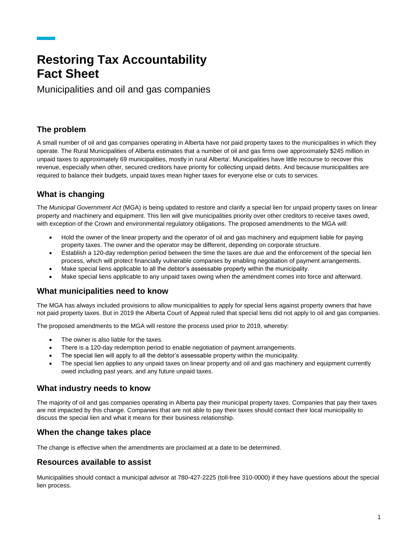## **Restoring Tax Accountability Fact Sheet**

Municipalities and oil and gas companies

### **The problem**

A small number of oil and gas companies operating in Alberta have not paid property taxes to the municipalities in which they operate. The Rural Municipalities of Alberta estimates that a number of oil and gas firms owe approximately \$245 million in unpaid taxes to approximately 69 municipalities, mostly in rural Alberta<sup>i</sup>. Municipalities have little recourse to recover this revenue, especially when other, secured creditors have priority for collecting unpaid debts. And because municipalities are required to balance their budgets, unpaid taxes mean higher taxes for everyone else or cuts to services.

## **What is changing**

The *Municipal Government Act* (MGA) is being updated to restore and clarify a special lien for unpaid property taxes on linear property and machinery and equipment. This lien will give municipalities priority over other creditors to receive taxes owed, with exception of the Crown and environmental regulatory obligations. The proposed amendments to the MGA will:

- Hold the owner of the linear property and the operator of oil and gas machinery and equipment liable for paying property taxes. The owner and the operator may be different, depending on corporate structure.
- Establish a 120-day redemption period between the time the taxes are due and the enforcement of the special lien process, which will protect financially vulnerable companies by enabling negotiation of payment arrangements.
- Make special liens applicable to all the debtor's assessable property within the municipality.
- Make special liens applicable to any unpaid taxes owing when the amendment comes into force and afterward.

#### **What municipalities need to know**

The MGA has always included provisions to allow municipalities to apply for special liens against property owners that have not paid property taxes. But in 2019 the Alberta Court of Appeal ruled that special liens did not apply to oil and gas companies.

The proposed amendments to the MGA will restore the process used prior to 2019, whereby:

- The owner is also liable for the taxes.
- There is a 120-day redemption period to enable negotiation of payment arrangements.
- The special lien will apply to all the debtor's assessable property within the municipality.
- The special lien applies to any unpaid taxes on linear property and oil and gas machinery and equipment currently owed including past years, and any future unpaid taxes.

#### **What industry needs to know**

The majority of oil and gas companies operating in Alberta pay their municipal property taxes. Companies that pay their taxes are not impacted by this change. Companies that are not able to pay their taxes should contact their local municipality to discuss the special lien and what it means for their business relationship.

#### **When the change takes place**

The change is effective when the amendments are proclaimed at a date to be determined.

#### **Resources available to assist**

Municipalities should contact a municipal advisor at 780-427-2225 (toll-free 310-0000) if they have questions about the special lien process.